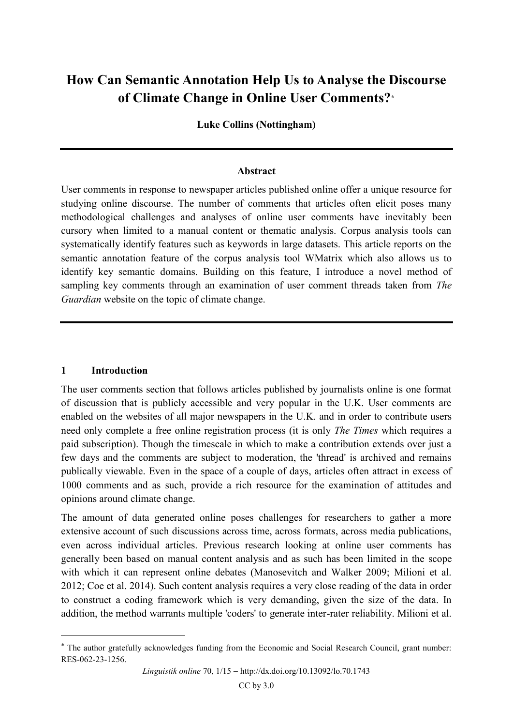# **How Can Semantic Annotation Help Us to Analyse the Discourse of Climate Change in Online User Comments?\***

**Luke Collins (Nottingham)**

#### **Abstract**

User comments in response to newspaper articles published online offer a unique resource for studying online discourse. The number of comments that articles often elicit poses many methodological challenges and analyses of online user comments have inevitably been cursory when limited to a manual content or thematic analysis. Corpus analysis tools can systematically identify features such as keywords in large datasets. This article reports on the semantic annotation feature of the corpus analysis tool WMatrix which also allows us to identify key semantic domains. Building on this feature, I introduce a novel method of sampling key comments through an examination of user comment threads taken from *The Guardian* website on the topic of climate change.

#### **1 Introduction**

 $\overline{a}$ 

The user comments section that follows articles published by journalists online is one format of discussion that is publicly accessible and very popular in the U.K. User comments are enabled on the websites of all major newspapers in the U.K. and in order to contribute users need only complete a free online registration process (it is only *The Times* which requires a paid subscription). Though the timescale in which to make a contribution extends over just a few days and the comments are subject to moderation, the 'thread' is archived and remains publically viewable. Even in the space of a couple of days, articles often attract in excess of 1000 comments and as such, provide a rich resource for the examination of attitudes and opinions around climate change.

The amount of data generated online poses challenges for researchers to gather a more extensive account of such discussions across time, across formats, across media publications, even across individual articles. Previous research looking at online user comments has generally been based on manual content analysis and as such has been limited in the scope with which it can represent online debates (Manosevitch and Walker 2009; Milioni et al. 2012; Coe et al. 2014). Such content analysis requires a very close reading of the data in order to construct a coding framework which is very demanding, given the size of the data. In addition, the method warrants multiple 'coders' to generate inter-rater reliability. Milioni et al.

<sup>\*</sup> The author gratefully acknowledges funding from the Economic and Social Research Council, grant number: RES-062-23-1256.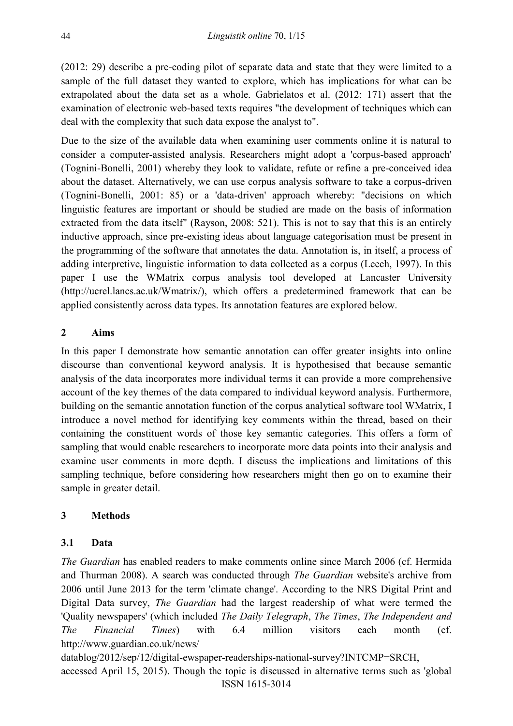(2012: 29) describe a pre-coding pilot of separate data and state that they were limited to a sample of the full dataset they wanted to explore, which has implications for what can be extrapolated about the data set as a whole. Gabrielatos et al. (2012: 171) assert that the examination of electronic web-based texts requires "the development of techniques which can deal with the complexity that such data expose the analyst to".

Due to the size of the available data when examining user comments online it is natural to consider a computer-assisted analysis. Researchers might adopt a 'corpus-based approach' (Tognini-Bonelli, 2001) whereby they look to validate, refute or refine a pre-conceived idea about the dataset. Alternatively, we can use corpus analysis software to take a corpus-driven (Tognini-Bonelli, 2001: 85) or a 'data-driven' approach whereby: "decisions on which linguistic features are important or should be studied are made on the basis of information extracted from the data itself" (Rayson, 2008: 521). This is not to say that this is an entirely inductive approach, since pre-existing ideas about language categorisation must be present in the programming of the software that annotates the data. Annotation is, in itself, a process of adding interpretive, linguistic information to data collected as a corpus (Leech, 1997). In this paper I use the WMatrix corpus analysis tool developed at Lancaster University [\(http://ucrel.lancs.ac.uk/Wmatrix/\)](http://ucrel.lancs.ac.uk/wmatrix/), which offers a predetermined framework that can be applied consistently across data types. Its annotation features are explored below.

# **2 Aims**

In this paper I demonstrate how semantic annotation can offer greater insights into online discourse than conventional keyword analysis. It is hypothesised that because semantic analysis of the data incorporates more individual terms it can provide a more comprehensive account of the key themes of the data compared to individual keyword analysis. Furthermore, building on the semantic annotation function of the corpus analytical software tool WMatrix, I introduce a novel method for identifying key comments within the thread, based on their containing the constituent words of those key semantic categories. This offers a form of sampling that would enable researchers to incorporate more data points into their analysis and examine user comments in more depth. I discuss the implications and limitations of this sampling technique, before considering how researchers might then go on to examine their sample in greater detail.

## **3 Methods**

## **3.1 Data**

*The Guardian* has enabled readers to make comments online since March 2006 (cf. Hermida and Thurman 2008). A search was conducted through *The Guardian* website's archive from 2006 until June 2013 for the term 'climate change'. According to the NRS Digital Print and Digital Data survey, *The Guardian* had the largest readership of what were termed the 'Quality newspapers' (which included *The Daily Telegraph*, *The Times*, *The Independent and The Financial Times*) with 6.4 million visitors each month (cf. [http://www.guardian.co.uk/news/](http://www.guardian.co.uk/news/datablog/2012/sep/12/digital-newspaper-readerships-national-survey?INTCMP=SRCH)

[datablog/2012/sep/12/digital-ewspaper-readerships-national-survey?INTCMP=SRCH,](http://www.guardian.co.uk/news/datablog/2012/sep/12/digital-newspaper-readerships-national-survey?INTCMP=SRCH)

ISSN 1615-3014 accessed April 15, 2015). Though the topic is discussed in alternative terms such as 'global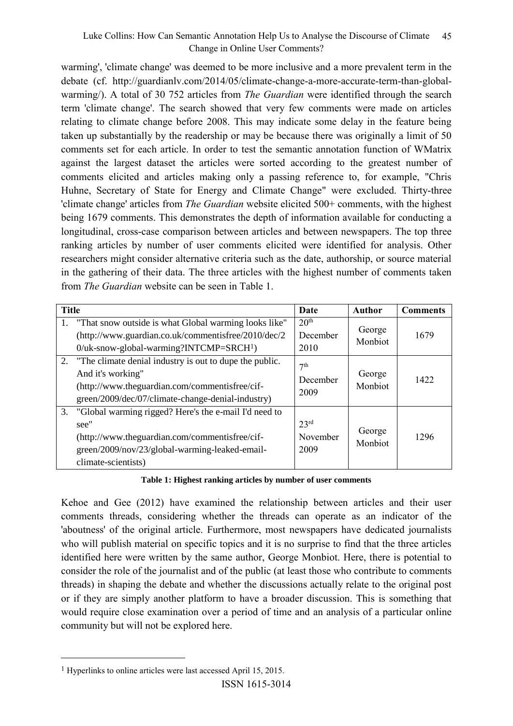warming', 'climate change' was deemed to be more inclusive and a more prevalent term in the debate (cf. [http://guardianlv.com/2014/05/climate-change-a-more-accurate-term-than-global](http://guardianlv.com/2014/05/climate-change-a-more-accurate-term-than-global-warming/)[warming/\)](http://guardianlv.com/2014/05/climate-change-a-more-accurate-term-than-global-warming/). A total of 30 752 articles from *The Guardian* were identified through the search term 'climate change'. The search showed that very few comments were made on articles relating to climate change before 2008. This may indicate some delay in the feature being taken up substantially by the readership or may be because there was originally a limit of 50 comments set for each article. In order to test the semantic annotation function of WMatrix against the largest dataset the articles were sorted according to the greatest number of comments elicited and articles making only a passing reference to, for example, "Chris Huhne, Secretary of State for Energy and Climate Change" were excluded. Thirty-three 'climate change' articles from *The Guardian* website elicited 500+ comments, with the highest being 1679 comments. This demonstrates the depth of information available for conducting a longitudinal, cross-case comparison between articles and between newspapers. The top three ranking articles by number of user comments elicited were identified for analysis. Other researchers might consider alternative criteria such as the date, authorship, or source material in the gathering of their data. The three articles with the highest number of comments taken from *The Guardian* website can be seen in Table 1.

| <b>Title</b> |                                                                                                                                                                                          | Date                                 | <b>Author</b>     | <b>Comments</b> |
|--------------|------------------------------------------------------------------------------------------------------------------------------------------------------------------------------------------|--------------------------------------|-------------------|-----------------|
|              | 1. "That snow outside is what Global warming looks like"<br>(http://www.guardian.co.uk/commentisfree/2010/dec/2<br>$0$ /uk-snow-global-warming?INTCMP=SRCH <sup>1</sup> )                | 20 <sup>th</sup><br>December<br>2010 | George<br>Monbiot | 1679            |
|              | 2. "The climate denial industry is out to dupe the public.<br>And it's working"<br>(http://www.theguardian.com/commentisfree/cif-<br>green/2009/dec/07/climate-change-denial-industry)   | 7 <sup>th</sup><br>December<br>2009  | George<br>Monbiot | 1422            |
| 3.           | "Global warming rigged? Here's the e-mail I'd need to<br>see"<br>(http://www.theguardian.com/commentisfree/cif-<br>green/2009/nov/23/global-warming-leaked-email-<br>climate-scientists) | 23 <sup>rd</sup><br>November<br>2009 | George<br>Monbiot | 1296            |

**Table 1: Highest ranking articles by number of user comments**

Kehoe and Gee (2012) have examined the relationship between articles and their user comments threads, considering whether the threads can operate as an indicator of the 'aboutness' of the original article. Furthermore, most newspapers have dedicated journalists who will publish material on specific topics and it is no surprise to find that the three articles identified here were written by the same author, George Monbiot. Here, there is potential to consider the role of the journalist and of the public (at least those who contribute to comments threads) in shaping the debate and whether the discussions actually relate to the original post or if they are simply another platform to have a broader discussion. This is something that would require close examination over a period of time and an analysis of a particular online community but will not be explored here.

 $\overline{a}$ 

ISSN 1615-3014

<sup>1</sup> Hyperlinks to online articles were last accessed April 15, 2015.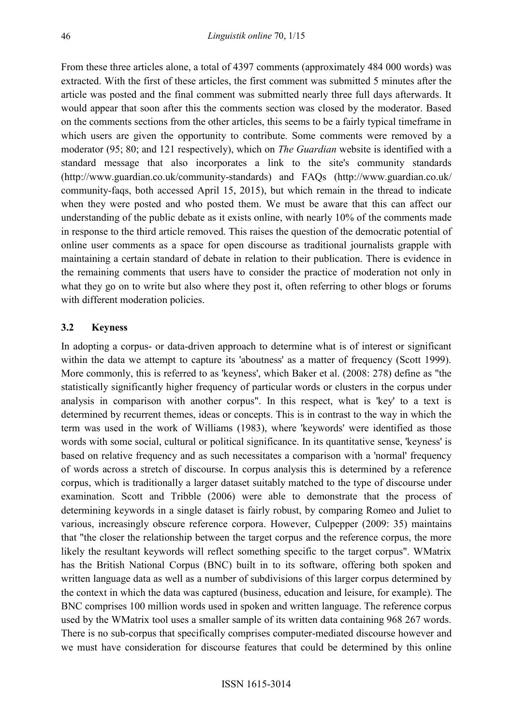From these three articles alone, a total of 4397 comments (approximately 484 000 words) was extracted. With the first of these articles, the first comment was submitted 5 minutes after the article was posted and the final comment was submitted nearly three full days afterwards. It would appear that soon after this the comments section was closed by the moderator. Based on the comments sections from the other articles, this seems to be a fairly typical timeframe in which users are given the opportunity to contribute. Some comments were removed by a moderator (95; 80; and 121 respectively), which on *The Guardian* website is identified with a standard message that also incorporates a link to the site's community standards [\(http://www.guardian.co.uk/community-standards\)](http://www.guardian.co.uk/community-standards) and FAQs [\(http://www.guardian.co.uk/](http://www.guardian.co.uk/community-faqs) [community-faqs,](http://www.guardian.co.uk/community-faqs) both accessed April 15, 2015), but which remain in the thread to indicate when they were posted and who posted them. We must be aware that this can affect our understanding of the public debate as it exists online, with nearly 10% of the comments made in response to the third article removed. This raises the question of the democratic potential of online user comments as a space for open discourse as traditional journalists grapple with maintaining a certain standard of debate in relation to their publication. There is evidence in the remaining comments that users have to consider the practice of moderation not only in what they go on to write but also where they post it, often referring to other blogs or forums with different moderation policies.

#### **3.2 Keyness**

In adopting a corpus- or data-driven approach to determine what is of interest or significant within the data we attempt to capture its 'aboutness' as a matter of frequency (Scott 1999). More commonly, this is referred to as 'keyness', which Baker et al. (2008: 278) define as "the statistically significantly higher frequency of particular words or clusters in the corpus under analysis in comparison with another corpus". In this respect, what is 'key' to a text is determined by recurrent themes, ideas or concepts. This is in contrast to the way in which the term was used in the work of Williams (1983), where 'keywords' were identified as those words with some social, cultural or political significance. In its quantitative sense, 'keyness' is based on relative frequency and as such necessitates a comparison with a 'normal' frequency of words across a stretch of discourse. In corpus analysis this is determined by a reference corpus, which is traditionally a larger dataset suitably matched to the type of discourse under examination. Scott and Tribble (2006) were able to demonstrate that the process of determining keywords in a single dataset is fairly robust, by comparing Romeo and Juliet to various, increasingly obscure reference corpora. However, Culpepper (2009: 35) maintains that "the closer the relationship between the target corpus and the reference corpus, the more likely the resultant keywords will reflect something specific to the target corpus". WMatrix has the British National Corpus (BNC) built in to its software, offering both spoken and written language data as well as a number of subdivisions of this larger corpus determined by the context in which the data was captured (business, education and leisure, for example). The BNC comprises 100 million words used in spoken and written language. The reference corpus used by the WMatrix tool uses a smaller sample of its written data containing 968 267 words. There is no sub-corpus that specifically comprises computer-mediated discourse however and we must have consideration for discourse features that could be determined by this online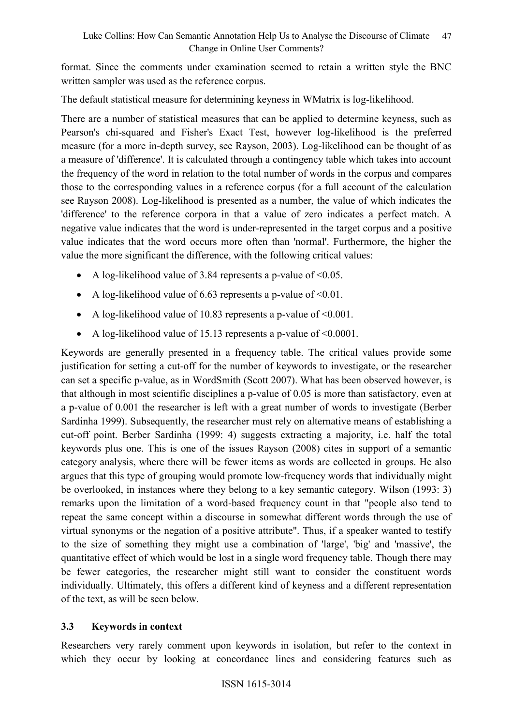format. Since the comments under examination seemed to retain a written style the BNC written sampler was used as the reference corpus.

The default statistical measure for determining keyness in WMatrix is log-likelihood.

There are a number of statistical measures that can be applied to determine keyness, such as Pearson's chi-squared and Fisher's Exact Test, however log-likelihood is the preferred measure (for a more in-depth survey, see Rayson, 2003). Log-likelihood can be thought of as a measure of 'difference'. It is calculated through a contingency table which takes into account the frequency of the word in relation to the total number of words in the corpus and compares those to the corresponding values in a reference corpus (for a full account of the calculation see Rayson 2008). Log-likelihood is presented as a number, the value of which indicates the 'difference' to the reference corpora in that a value of zero indicates a perfect match. A negative value indicates that the word is under-represented in the target corpus and a positive value indicates that the word occurs more often than 'normal'. Furthermore, the higher the value the more significant the difference, with the following critical values:

- A log-likelihood value of 3.84 represents a p-value of  $\leq 0.05$ .
- A log-likelihood value of 6.63 represents a p-value of  $\leq 0.01$ .
- A log-likelihood value of 10.83 represents a p-value of  $\leq 0.001$ .
- A log-likelihood value of 15.13 represents a p-value of <0.0001.

Keywords are generally presented in a frequency table. The critical values provide some justification for setting a cut-off for the number of keywords to investigate, or the researcher can set a specific p-value, as in WordSmith (Scott 2007). What has been observed however, is that although in most scientific disciplines a p-value of 0.05 is more than satisfactory, even at a p-value of 0.001 the researcher is left with a great number of words to investigate (Berber Sardinha 1999). Subsequently, the researcher must rely on alternative means of establishing a cut-off point. Berber Sardinha (1999: 4) suggests extracting a majority, i.e. half the total keywords plus one. This is one of the issues Rayson (2008) cites in support of a semantic category analysis, where there will be fewer items as words are collected in groups. He also argues that this type of grouping would promote low-frequency words that individually might be overlooked, in instances where they belong to a key semantic category. Wilson (1993: 3) remarks upon the limitation of a word-based frequency count in that "people also tend to repeat the same concept within a discourse in somewhat different words through the use of virtual synonyms or the negation of a positive attribute". Thus, if a speaker wanted to testify to the size of something they might use a combination of 'large', 'big' and 'massive', the quantitative effect of which would be lost in a single word frequency table. Though there may be fewer categories, the researcher might still want to consider the constituent words individually. Ultimately, this offers a different kind of keyness and a different representation of the text, as will be seen below.

# **3.3 Keywords in context**

Researchers very rarely comment upon keywords in isolation, but refer to the context in which they occur by looking at concordance lines and considering features such as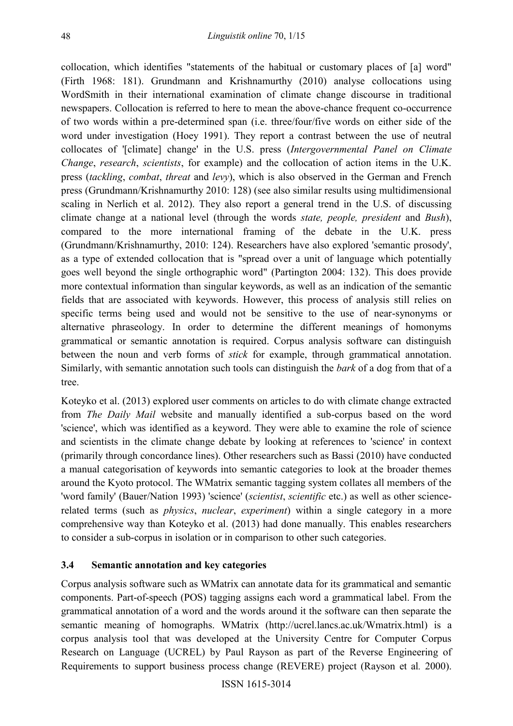collocation, which identifies "statements of the habitual or customary places of [a] word" (Firth 1968: 181). Grundmann and Krishnamurthy (2010) analyse collocations using WordSmith in their international examination of climate change discourse in traditional newspapers. Collocation is referred to here to mean the above-chance frequent co-occurrence of two words within a pre-determined span (i.e. three/four/five words on either side of the word under investigation (Hoey 1991). They report a contrast between the use of neutral collocates of '[climate] change' in the U.S. press (*Intergovernmental Panel on Climate Change*, *research*, *scientists*, for example) and the collocation of action items in the U.K. press (*tackling*, *combat*, *threat* and *levy*), which is also observed in the German and French press (Grundmann/Krishnamurthy 2010: 128) (see also similar results using multidimensional scaling in Nerlich et al. 2012). They also report a general trend in the U.S. of discussing climate change at a national level (through the words *state, people, president* and *Bush*), compared to the more international framing of the debate in the U.K. press (Grundmann/Krishnamurthy, 2010: 124). Researchers have also explored 'semantic prosody', as a type of extended collocation that is "spread over a unit of language which potentially goes well beyond the single orthographic word" (Partington 2004: 132). This does provide more contextual information than singular keywords, as well as an indication of the semantic fields that are associated with keywords. However, this process of analysis still relies on specific terms being used and would not be sensitive to the use of near-synonyms or alternative phraseology. In order to determine the different meanings of homonyms grammatical or semantic annotation is required. Corpus analysis software can distinguish between the noun and verb forms of *stick* for example, through grammatical annotation. Similarly, with semantic annotation such tools can distinguish the *bark* of a dog from that of a tree.

Koteyko et al. (2013) explored user comments on articles to do with climate change extracted from *The Daily Mail* website and manually identified a sub-corpus based on the word 'science', which was identified as a keyword. They were able to examine the role of science and scientists in the climate change debate by looking at references to 'science' in context (primarily through concordance lines). Other researchers such as Bassi (2010) have conducted a manual categorisation of keywords into semantic categories to look at the broader themes around the Kyoto protocol. The WMatrix semantic tagging system collates all members of the 'word family' (Bauer/Nation 1993) 'science' (*scientist*, *scientific* etc.) as well as other sciencerelated terms (such as *physics*, *nuclear*, *experiment*) within a single category in a more comprehensive way than Koteyko et al. (2013) had done manually. This enables researchers to consider a sub-corpus in isolation or in comparison to other such categories.

# **3.4 Semantic annotation and key categories**

Corpus analysis software such as WMatrix can annotate data for its grammatical and semantic components. Part-of-speech (POS) tagging assigns each word a grammatical label. From the grammatical annotation of a word and the words around it the software can then separate the semantic meaning of homographs. WMatrix [\(http://ucrel.lancs.ac.uk/Wmatrix.html\)](http://ucrel.lancs.ac.uk/wmatrix3.html) is a corpus analysis tool that was developed at the University Centre for Computer Corpus Research on Language (UCREL) by Paul Rayson as part of the Reverse Engineering of Requirements to support business process change (REVERE) project (Rayson et al*.* 2000).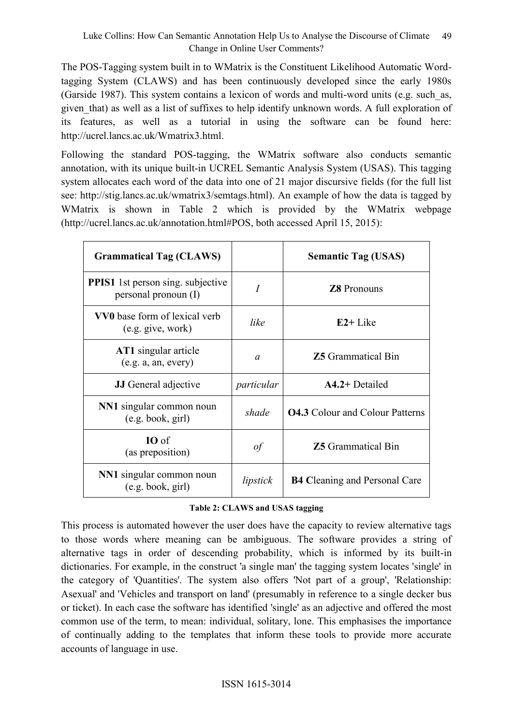The POS-Tagging system built in to WMatrix is the Constituent Likelihood Automatic Wordtagging System (CLAWS) and has been continuously developed since the early 1980s (Garside 1987). This system contains a lexicon of words and multi-word units (e.g. such\_as, given that) as well as a list of suffixes to help identify unknown words. A full exploration of its features, as well as a tutorial in using the software can be found here: [http://ucrel.lancs.ac.uk/Wmatrix3.html.](http://ucrel.lancs.ac.uk/wmatrix3.html)

Following the standard POS-tagging, the WMatrix software also conducts semantic annotation, with its unique built-in UCREL Semantic Analysis System (USAS). This tagging system allocates each word of the data into one of 21 major discursive fields (for the full list see: [http://stig.lancs.ac.uk/wmatrix3/semtags.html\)](http://stig.lancs.ac.uk/wmatrix3/semtags.html). An example of how the data is tagged by WMatrix is shown in Table 2 which is provided by the WMatrix webpage [\(http://ucrel.lancs.ac.uk/annotation.html#POS,](http://ucrel.lancs.ac.uk/annotation.html#POS) both accessed April 15, 2015):

| <b>Grammatical Tag (CLAWS)</b>                                   |            | <b>Semantic Tag (USAS)</b>             |  |
|------------------------------------------------------------------|------------|----------------------------------------|--|
| <b>PPIS1</b> 1st person sing. subjective<br>personal pronoun (I) | Ī          | <b>Z8</b> Pronouns                     |  |
| <b>VV0</b> base form of lexical verb<br>(e.g. give, work)        | like       | $E2+$ Like                             |  |
| <b>AT1</b> singular article<br>(e.g. a, an, every)               | $\alpha$   | <b>Z5</b> Grammatical Bin              |  |
| <b>JJ</b> General adjective                                      | particular | $A4.2+$ Detailed                       |  |
| NN1 singular common noun<br>(e.g. book, girl)                    | shade      | <b>04.3</b> Colour and Colour Patterns |  |
| <b>IO</b> of<br>(as preposition)                                 | of         | <b>Z5</b> Grammatical Bin              |  |
| NN1 singular common noun<br>(e.g. book, girl)                    | lipstick   | <b>B4 Cleaning and Personal Care</b>   |  |

#### **Table 2: CLAWS and USAS tagging**

This process is automated however the user does have the capacity to review alternative tags to those words where meaning can be ambiguous. The software provides a string of alternative tags in order of descending probability, which is informed by its built-in dictionaries. For example, in the construct 'a single man' the tagging system locates 'single' in the category of 'Quantities'. The system also offers 'Not part of a group', 'Relationship: Asexual' and 'Vehicles and transport on land' (presumably in reference to a single decker bus or ticket). In each case the software has identified 'single' as an adjective and offered the most common use of the term, to mean: individual, solitary, lone. This emphasises the importance of continually adding to the templates that inform these tools to provide more accurate accounts of language in use.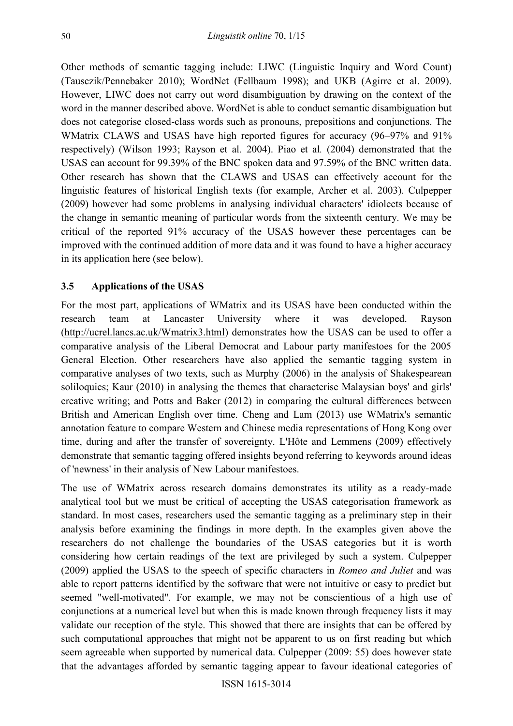Other methods of semantic tagging include: LIWC (Linguistic Inquiry and Word Count) (Tausczik/Pennebaker 2010); WordNet (Fellbaum 1998); and UKB (Agirre et al. 2009). However, LIWC does not carry out word disambiguation by drawing on the context of the word in the manner described above. WordNet is able to conduct semantic disambiguation but does not categorise closed-class words such as pronouns, prepositions and conjunctions. The WMatrix CLAWS and USAS have high reported figures for accuracy (96–97% and 91% respectively) (Wilson 1993; Rayson et al*.* 2004). Piao et al*.* (2004) demonstrated that the USAS can account for 99.39% of the BNC spoken data and 97.59% of the BNC written data. Other research has shown that the CLAWS and USAS can effectively account for the linguistic features of historical English texts (for example, Archer et al. 2003). Culpepper (2009) however had some problems in analysing individual characters' idiolects because of the change in semantic meaning of particular words from the sixteenth century. We may be critical of the reported 91% accuracy of the USAS however these percentages can be improved with the continued addition of more data and it was found to have a higher accuracy in its application here (see below).

# **3.5 Applications of the USAS**

For the most part, applications of WMatrix and its USAS have been conducted within the research team at Lancaster University where it was developed. Rayson [\(http://ucrel.lancs.ac.uk/Wmatrix3.html\)](http://ucrel.lancs.ac.uk/wmatrix3.html) demonstrates how the USAS can be used to offer a comparative analysis of the Liberal Democrat and Labour party manifestoes for the 2005 General Election. Other researchers have also applied the semantic tagging system in comparative analyses of two texts, such as Murphy (2006) in the analysis of Shakespearean soliloquies; Kaur (2010) in analysing the themes that characterise Malaysian boys' and girls' creative writing; and Potts and Baker (2012) in comparing the cultural differences between British and American English over time. Cheng and Lam (2013) use WMatrix's semantic annotation feature to compare Western and Chinese media representations of Hong Kong over time, during and after the transfer of sovereignty. L'Hôte and Lemmens (2009) effectively demonstrate that semantic tagging offered insights beyond referring to keywords around ideas of 'newness' in their analysis of New Labour manifestoes.

The use of WMatrix across research domains demonstrates its utility as a ready-made analytical tool but we must be critical of accepting the USAS categorisation framework as standard. In most cases, researchers used the semantic tagging as a preliminary step in their analysis before examining the findings in more depth. In the examples given above the researchers do not challenge the boundaries of the USAS categories but it is worth considering how certain readings of the text are privileged by such a system. Culpepper (2009) applied the USAS to the speech of specific characters in *Romeo and Juliet* and was able to report patterns identified by the software that were not intuitive or easy to predict but seemed "well-motivated". For example, we may not be conscientious of a high use of conjunctions at a numerical level but when this is made known through frequency lists it may validate our reception of the style. This showed that there are insights that can be offered by such computational approaches that might not be apparent to us on first reading but which seem agreeable when supported by numerical data. Culpepper (2009: 55) does however state that the advantages afforded by semantic tagging appear to favour ideational categories of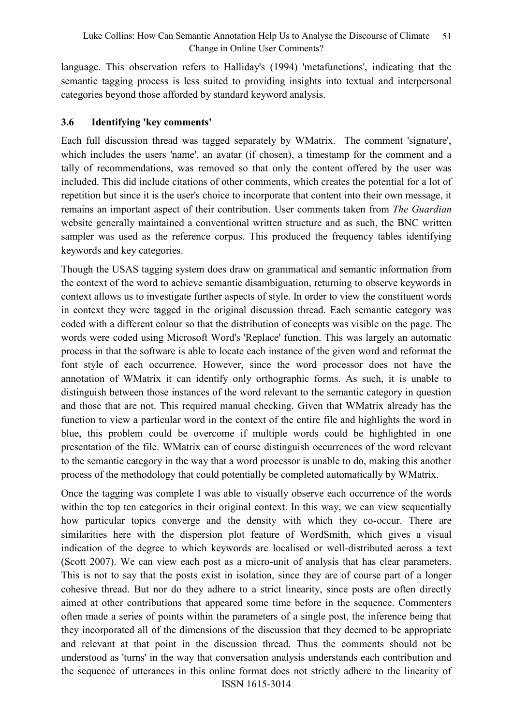language. This observation refers to Halliday's (1994) 'metafunctions', indicating that the semantic tagging process is less suited to providing insights into textual and interpersonal categories beyond those afforded by standard keyword analysis.

# **3.6 Identifying 'key comments'**

Each full discussion thread was tagged separately by WMatrix. The comment 'signature', which includes the users 'name', an avatar (if chosen), a timestamp for the comment and a tally of recommendations, was removed so that only the content offered by the user was included. This did include citations of other comments, which creates the potential for a lot of repetition but since it is the user's choice to incorporate that content into their own message, it remains an important aspect of their contribution. User comments taken from *The Guardian*  website generally maintained a conventional written structure and as such, the BNC written sampler was used as the reference corpus. This produced the frequency tables identifying keywords and key categories.

Though the USAS tagging system does draw on grammatical and semantic information from the context of the word to achieve semantic disambiguation, returning to observe keywords in context allows us to investigate further aspects of style. In order to view the constituent words in context they were tagged in the original discussion thread. Each semantic category was coded with a different colour so that the distribution of concepts was visible on the page. The words were coded using Microsoft Word's 'Replace' function. This was largely an automatic process in that the software is able to locate each instance of the given word and reformat the font style of each occurrence. However, since the word processor does not have the annotation of WMatrix it can identify only orthographic forms. As such, it is unable to distinguish between those instances of the word relevant to the semantic category in question and those that are not. This required manual checking. Given that WMatrix already has the function to view a particular word in the context of the entire file and highlights the word in blue, this problem could be overcome if multiple words could be highlighted in one presentation of the file. WMatrix can of course distinguish occurrences of the word relevant to the semantic category in the way that a word processor is unable to do, making this another process of the methodology that could potentially be completed automatically by WMatrix.

ISSN 1615-3014 Once the tagging was complete I was able to visually observe each occurrence of the words within the top ten categories in their original context. In this way, we can view sequentially how particular topics converge and the density with which they co-occur. There are similarities here with the dispersion plot feature of WordSmith, which gives a visual indication of the degree to which keywords are localised or well-distributed across a text (Scott 2007). We can view each post as a micro-unit of analysis that has clear parameters. This is not to say that the posts exist in isolation, since they are of course part of a longer cohesive thread. But nor do they adhere to a strict linearity, since posts are often directly aimed at other contributions that appeared some time before in the sequence. Commenters often made a series of points within the parameters of a single post, the inference being that they incorporated all of the dimensions of the discussion that they deemed to be appropriate and relevant at that point in the discussion thread. Thus the comments should not be understood as 'turns' in the way that conversation analysis understands each contribution and the sequence of utterances in this online format does not strictly adhere to the linearity of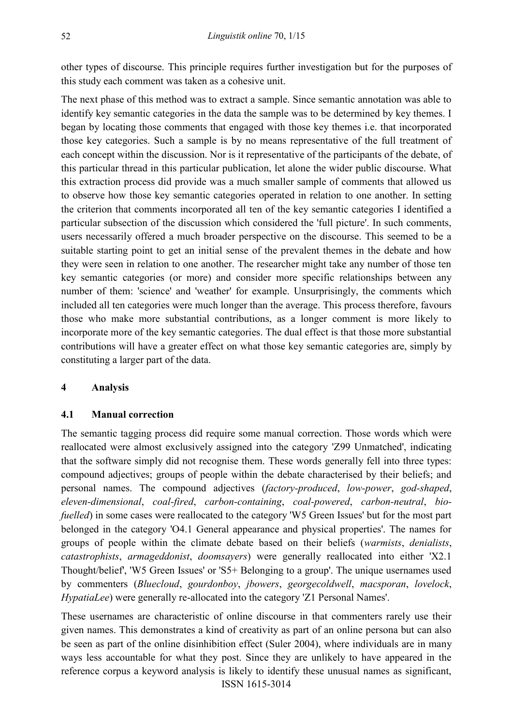other types of discourse. This principle requires further investigation but for the purposes of this study each comment was taken as a cohesive unit.

The next phase of this method was to extract a sample. Since semantic annotation was able to identify key semantic categories in the data the sample was to be determined by key themes. I began by locating those comments that engaged with those key themes i.e. that incorporated those key categories. Such a sample is by no means representative of the full treatment of each concept within the discussion. Nor is it representative of the participants of the debate, of this particular thread in this particular publication, let alone the wider public discourse. What this extraction process did provide was a much smaller sample of comments that allowed us to observe how those key semantic categories operated in relation to one another. In setting the criterion that comments incorporated all ten of the key semantic categories I identified a particular subsection of the discussion which considered the 'full picture'. In such comments, users necessarily offered a much broader perspective on the discourse. This seemed to be a suitable starting point to get an initial sense of the prevalent themes in the debate and how they were seen in relation to one another. The researcher might take any number of those ten key semantic categories (or more) and consider more specific relationships between any number of them: 'science' and 'weather' for example. Unsurprisingly, the comments which included all ten categories were much longer than the average. This process therefore, favours those who make more substantial contributions, as a longer comment is more likely to incorporate more of the key semantic categories. The dual effect is that those more substantial contributions will have a greater effect on what those key semantic categories are, simply by constituting a larger part of the data.

## **4 Analysis**

## **4.1 Manual correction**

The semantic tagging process did require some manual correction. Those words which were reallocated were almost exclusively assigned into the category 'Z99 Unmatched', indicating that the software simply did not recognise them. These words generally fell into three types: compound adjectives; groups of people within the debate characterised by their beliefs; and personal names. The compound adjectives (*factory-produced*, *low-power*, *god-shaped*, *eleven-dimensional*, *coal-fired*, *carbon-containing*, *coal-powered*, *carbon-neutral*, *biofuelled*) in some cases were reallocated to the category 'W5 Green Issues' but for the most part belonged in the category 'O4.1 General appearance and physical properties'. The names for groups of people within the climate debate based on their beliefs (*warmists*, *denialists*, *catastrophists*, *armageddonist*, *doomsayers*) were generally reallocated into either 'X2.1 Thought/belief', 'W5 Green Issues' or 'S5+ Belonging to a group'. The unique usernames used by commenters (*Bluecloud*, *gourdonboy*, *jbowers*, *georgecoldwell*, *macsporan*, *lovelock*, *HypatiaLee*) were generally re-allocated into the category 'Z1 Personal Names'.

ISSN 1615-3014 These usernames are characteristic of online discourse in that commenters rarely use their given names. This demonstrates a kind of creativity as part of an online persona but can also be seen as part of the online disinhibition effect (Suler 2004), where individuals are in many ways less accountable for what they post. Since they are unlikely to have appeared in the reference corpus a keyword analysis is likely to identify these unusual names as significant,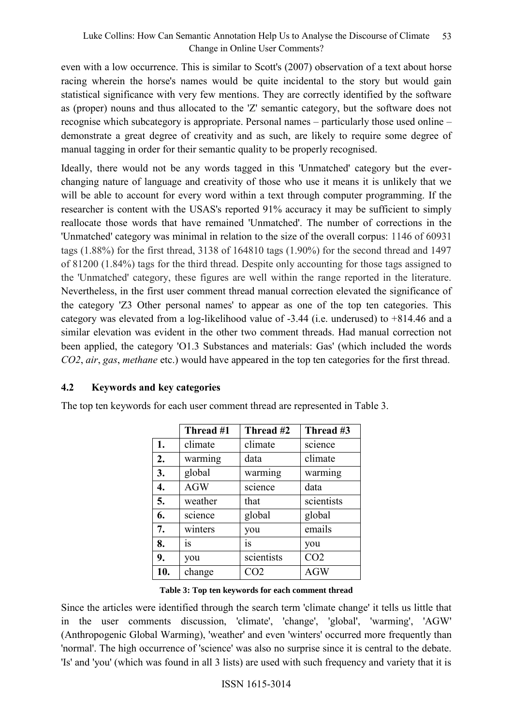even with a low occurrence. This is similar to Scott's (2007) observation of a text about horse racing wherein the horse's names would be quite incidental to the story but would gain statistical significance with very few mentions. They are correctly identified by the software as (proper) nouns and thus allocated to the 'Z' semantic category, but the software does not recognise which subcategory is appropriate. Personal names – particularly those used online – demonstrate a great degree of creativity and as such, are likely to require some degree of manual tagging in order for their semantic quality to be properly recognised.

Ideally, there would not be any words tagged in this 'Unmatched' category but the everchanging nature of language and creativity of those who use it means it is unlikely that we will be able to account for every word within a text through computer programming. If the researcher is content with the USAS's reported 91% accuracy it may be sufficient to simply reallocate those words that have remained 'Unmatched'. The number of corrections in the 'Unmatched' category was minimal in relation to the size of the overall corpus: 1146 of 60931 tags (1.88%) for the first thread, 3138 of 164810 tags (1.90%) for the second thread and 1497 of 81200 (1.84%) tags for the third thread. Despite only accounting for those tags assigned to the 'Unmatched' category, these figures are well within the range reported in the literature. Nevertheless, in the first user comment thread manual correction elevated the significance of the category 'Z3 Other personal names' to appear as one of the top ten categories. This category was elevated from a log-likelihood value of -3.44 (i.e. underused) to +814.46 and a similar elevation was evident in the other two comment threads. Had manual correction not been applied, the category 'O1.3 Substances and materials: Gas' (which included the words *CO2*, *air*, *gas*, *methane* etc.) would have appeared in the top ten categories for the first thread.

## **4.2 Keywords and key categories**

The top ten keywords for each user comment thread are represented in Table 3.

|     | Thread #1  | Thread #2  | Thread #3       |
|-----|------------|------------|-----------------|
| 1.  | climate    | climate    | science         |
| 2.  | warming    | data       | climate         |
| 3.  | global     | warming    | warming         |
| 4.  | <b>AGW</b> | science    | data            |
| 5.  | weather    | that       | scientists      |
| 6.  | science    | global     | global          |
| 7.  | winters    | you        | emails          |
| 8.  | <b>1S</b>  | is         | you             |
| 9.  | you        | scientists | CO <sub>2</sub> |
| 10. | change     | CO2        | <b>AGW</b>      |

**Table 3: Top ten keywords for each comment thread**

Since the articles were identified through the search term 'climate change' it tells us little that in the user comments discussion, 'climate', 'change', 'global', 'warming', 'AGW' (Anthropogenic Global Warming), 'weather' and even 'winters' occurred more frequently than 'normal'. The high occurrence of 'science' was also no surprise since it is central to the debate. 'Is' and 'you' (which was found in all 3 lists) are used with such frequency and variety that it is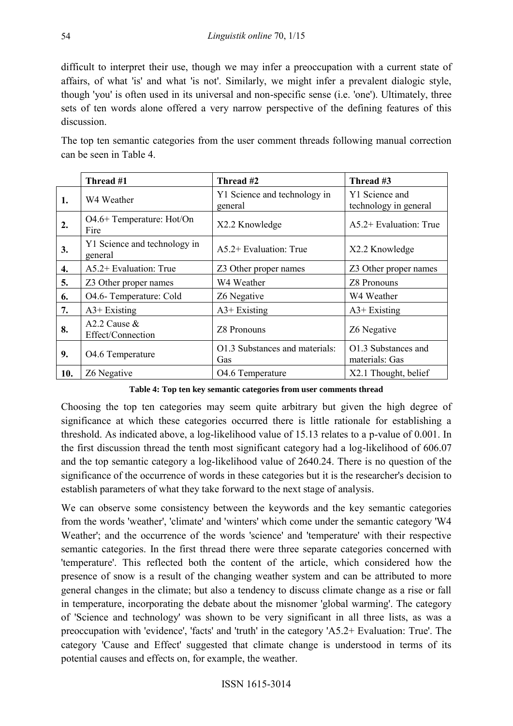difficult to interpret their use, though we may infer a preoccupation with a current state of affairs, of what 'is' and what 'is not'. Similarly, we might infer a prevalent dialogic style, though 'you' is often used in its universal and non-specific sense (i.e. 'one'). Ultimately, three sets of ten words alone offered a very narrow perspective of the defining features of this discussion.

The top ten semantic categories from the user comment threads following manual correction can be seen in Table 4.

|     | Thread #1                               | Thread #2                               | Thread #3                               |
|-----|-----------------------------------------|-----------------------------------------|-----------------------------------------|
| 1.  | W4 Weather                              | Y1 Science and technology in<br>general | Y1 Science and<br>technology in general |
| 2.  | O4.6+ Temperature: Hot/On<br>Fire       | X2.2 Knowledge                          | $A5.2+$ Evaluation: True                |
| 3.  | Y1 Science and technology in<br>general | $A5.2+$ Evaluation: True                | X2.2 Knowledge                          |
| 4.  | $A5.2+$ Evaluation: True                | Z3 Other proper names                   | Z3 Other proper names                   |
| 5.  | Z3 Other proper names                   | W4 Weather                              | <b>Z8 Pronouns</b>                      |
| 6.  | O4.6- Temperature: Cold                 | Z6 Negative                             | W4 Weather                              |
| 7.  | $A3+Existing$                           | $A3+Existing$                           | $A3+$ Existing                          |
| 8.  | A2.2 Cause $&$<br>Effect/Connection     | <b>Z8 Pronouns</b>                      | Z6 Negative                             |
| 9.  | O4.6 Temperature                        | O1.3 Substances and materials:<br>Gas   | O1.3 Substances and<br>materials: Gas   |
| 10. | Z6 Negative                             | O4.6 Temperature                        | X2.1 Thought, belief                    |

**Table 4: Top ten key semantic categories from user comments thread**

Choosing the top ten categories may seem quite arbitrary but given the high degree of significance at which these categories occurred there is little rationale for establishing a threshold. As indicated above, a log-likelihood value of 15.13 relates to a p-value of 0.001. In the first discussion thread the tenth most significant category had a log-likelihood of 606.07 and the top semantic category a log-likelihood value of 2640.24. There is no question of the significance of the occurrence of words in these categories but it is the researcher's decision to establish parameters of what they take forward to the next stage of analysis.

We can observe some consistency between the keywords and the key semantic categories from the words 'weather', 'climate' and 'winters' which come under the semantic category 'W4 Weather'; and the occurrence of the words 'science' and 'temperature' with their respective semantic categories. In the first thread there were three separate categories concerned with 'temperature'. This reflected both the content of the article, which considered how the presence of snow is a result of the changing weather system and can be attributed to more general changes in the climate; but also a tendency to discuss climate change as a rise or fall in temperature, incorporating the debate about the misnomer 'global warming'. The category of 'Science and technology' was shown to be very significant in all three lists, as was a preoccupation with 'evidence', 'facts' and 'truth' in the category 'A5.2+ Evaluation: True'. The category 'Cause and Effect' suggested that climate change is understood in terms of its potential causes and effects on, for example, the weather.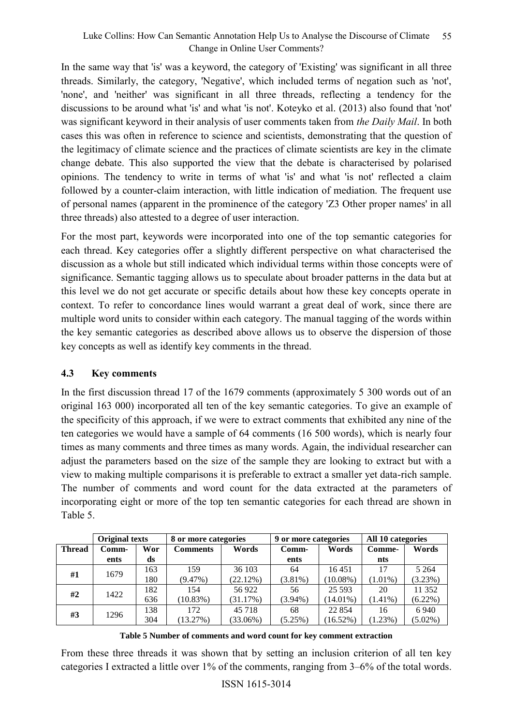In the same way that 'is' was a keyword, the category of 'Existing' was significant in all three threads. Similarly, the category, 'Negative', which included terms of negation such as 'not', 'none', and 'neither' was significant in all three threads, reflecting a tendency for the discussions to be around what 'is' and what 'is not'. Koteyko et al. (2013) also found that 'not' was significant keyword in their analysis of user comments taken from *the Daily Mail*. In both cases this was often in reference to science and scientists, demonstrating that the question of the legitimacy of climate science and the practices of climate scientists are key in the climate change debate. This also supported the view that the debate is characterised by polarised opinions. The tendency to write in terms of what 'is' and what 'is not' reflected a claim followed by a counter-claim interaction, with little indication of mediation. The frequent use of personal names (apparent in the prominence of the category 'Z3 Other proper names' in all three threads) also attested to a degree of user interaction.

For the most part, keywords were incorporated into one of the top semantic categories for each thread. Key categories offer a slightly different perspective on what characterised the discussion as a whole but still indicated which individual terms within those concepts were of significance. Semantic tagging allows us to speculate about broader patterns in the data but at this level we do not get accurate or specific details about how these key concepts operate in context. To refer to concordance lines would warrant a great deal of work, since there are multiple word units to consider within each category. The manual tagging of the words within the key semantic categories as described above allows us to observe the dispersion of those key concepts as well as identify key comments in the thread.

## **4.3 Key comments**

In the first discussion thread 17 of the 1679 comments (approximately 5 300 words out of an original 163 000) incorporated all ten of the key semantic categories. To give an example of the specificity of this approach, if we were to extract comments that exhibited any nine of the ten categories we would have a sample of 64 comments (16 500 words), which is nearly four times as many comments and three times as many words. Again, the individual researcher can adjust the parameters based on the size of the sample they are looking to extract but with a view to making multiple comparisons it is preferable to extract a smaller yet data-rich sample. The number of comments and word count for the data extracted at the parameters of incorporating eight or more of the top ten semantic categories for each thread are shown in Table 5.

|               | <b>Original texts</b> |     | 8 or more categories |             | 9 or more categories |             | All 10 categories |            |
|---------------|-----------------------|-----|----------------------|-------------|----------------------|-------------|-------------------|------------|
| <b>Thread</b> | Comm-                 | Wor | <b>Comments</b>      | Words       | Comm-                | Words       | Comme-            | Words      |
|               | ents                  | ds  |                      |             | ents                 |             | nts               |            |
| #1            | 1679                  | 163 | 159                  | 36 103      | 64                   | 16451       | 17                | 5 2 6 4    |
|               |                       | 180 | (9.47%)              | (22.12%)    | $(3.81\%)$           | $(10.08\%)$ | $(1.01\%)$        | (3.23%)    |
| #2            | 1422                  | 182 | 154                  | 56 922      | 56                   | 25 5 93     | 20                | 11 352     |
|               |                       | 636 | (10.83%)             | (31.17%)    | $(3.94\%)$           | $(14.01\%)$ | $(1.41\%)$        | $(6.22\%)$ |
|               | 1296                  | 138 | 172                  | 45 718      | 68                   | 22 8 5 4    | 16                | 6 9 4 0    |
| #3            |                       | 304 | (13.27%)             | $(33.06\%)$ | (5.25%)              | (16.52%)    | (1.23%)           | $(5.02\%)$ |

**Table 5 Number of comments and word count for key comment extraction**

From these three threads it was shown that by setting an inclusion criterion of all ten key categories I extracted a little over 1% of the comments, ranging from 3–6% of the total words.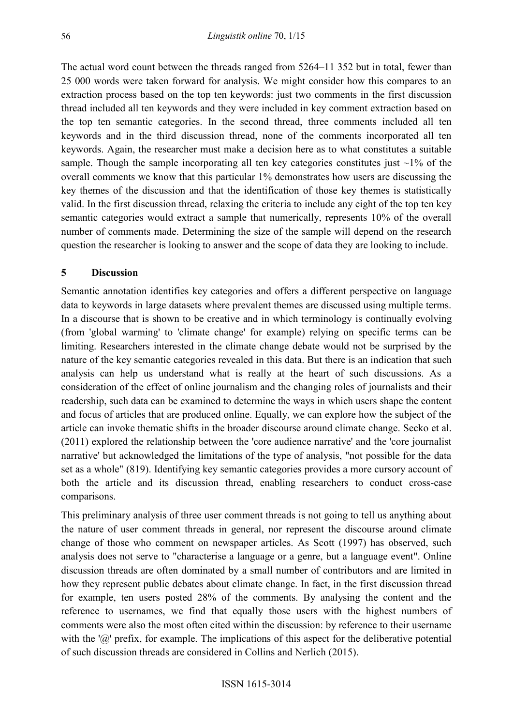The actual word count between the threads ranged from 5264–11 352 but in total, fewer than 25 000 words were taken forward for analysis. We might consider how this compares to an extraction process based on the top ten keywords: just two comments in the first discussion thread included all ten keywords and they were included in key comment extraction based on the top ten semantic categories. In the second thread, three comments included all ten keywords and in the third discussion thread, none of the comments incorporated all ten keywords. Again, the researcher must make a decision here as to what constitutes a suitable sample. Though the sample incorporating all ten key categories constitutes just  $\sim$ 1% of the overall comments we know that this particular 1% demonstrates how users are discussing the key themes of the discussion and that the identification of those key themes is statistically valid. In the first discussion thread, relaxing the criteria to include any eight of the top ten key semantic categories would extract a sample that numerically, represents 10% of the overall number of comments made. Determining the size of the sample will depend on the research question the researcher is looking to answer and the scope of data they are looking to include.

#### **5 Discussion**

Semantic annotation identifies key categories and offers a different perspective on language data to keywords in large datasets where prevalent themes are discussed using multiple terms. In a discourse that is shown to be creative and in which terminology is continually evolving (from 'global warming' to 'climate change' for example) relying on specific terms can be limiting. Researchers interested in the climate change debate would not be surprised by the nature of the key semantic categories revealed in this data. But there is an indication that such analysis can help us understand what is really at the heart of such discussions. As a consideration of the effect of online journalism and the changing roles of journalists and their readership, such data can be examined to determine the ways in which users shape the content and focus of articles that are produced online. Equally, we can explore how the subject of the article can invoke thematic shifts in the broader discourse around climate change. Secko et al. (2011) explored the relationship between the 'core audience narrative' and the 'core journalist narrative' but acknowledged the limitations of the type of analysis, "not possible for the data set as a whole" (819). Identifying key semantic categories provides a more cursory account of both the article and its discussion thread, enabling researchers to conduct cross-case comparisons.

This preliminary analysis of three user comment threads is not going to tell us anything about the nature of user comment threads in general, nor represent the discourse around climate change of those who comment on newspaper articles. As Scott (1997) has observed, such analysis does not serve to "characterise a language or a genre, but a language event". Online discussion threads are often dominated by a small number of contributors and are limited in how they represent public debates about climate change. In fact, in the first discussion thread for example, ten users posted 28% of the comments. By analysing the content and the reference to usernames, we find that equally those users with the highest numbers of comments were also the most often cited within the discussion: by reference to their username with the ' $\omega$ ' prefix, for example. The implications of this aspect for the deliberative potential of such discussion threads are considered in Collins and Nerlich (2015).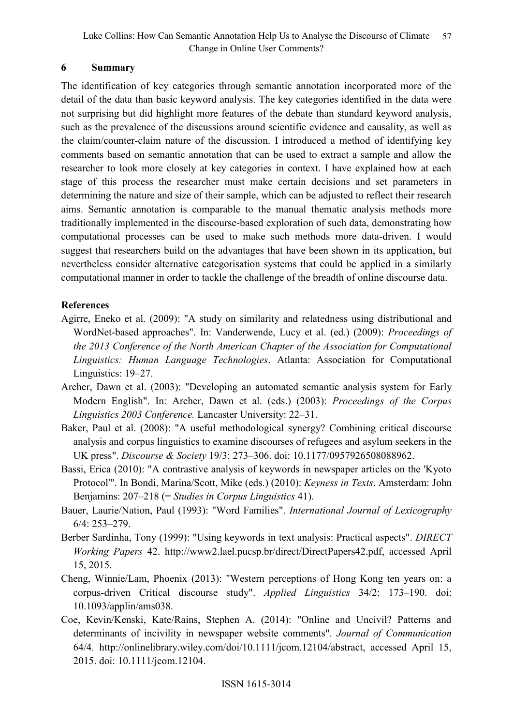# **6 Summary**

The identification of key categories through semantic annotation incorporated more of the detail of the data than basic keyword analysis. The key categories identified in the data were not surprising but did highlight more features of the debate than standard keyword analysis, such as the prevalence of the discussions around scientific evidence and causality, as well as the claim/counter-claim nature of the discussion. I introduced a method of identifying key comments based on semantic annotation that can be used to extract a sample and allow the researcher to look more closely at key categories in context. I have explained how at each stage of this process the researcher must make certain decisions and set parameters in determining the nature and size of their sample, which can be adjusted to reflect their research aims. Semantic annotation is comparable to the manual thematic analysis methods more traditionally implemented in the discourse-based exploration of such data, demonstrating how computational processes can be used to make such methods more data-driven. I would suggest that researchers build on the advantages that have been shown in its application, but nevertheless consider alternative categorisation systems that could be applied in a similarly computational manner in order to tackle the challenge of the breadth of online discourse data.

## **References**

- Agirre, Eneko et al. (2009): "A study on similarity and relatedness using distributional and WordNet-based approaches". In: Vanderwende, Lucy et al. (ed.) (2009): *Proceedings of the 2013 Conference of the North American Chapter of the Association for Computational Linguistics: Human Language Technologies*. Atlanta: Association for Computational Linguistics: 19–27.
- Archer, Dawn et al. (2003): "Developing an automated semantic analysis system for Early Modern English". In: Archer, Dawn et al. (eds.) (2003): *Proceedings of the Corpus Linguistics 2003 Conference.* Lancaster University: 22–31.
- Baker, Paul et al. (2008): "A useful methodological synergy? Combining critical discourse analysis and corpus linguistics to examine discourses of refugees and asylum seekers in the UK press". *Discourse & Society* 19/3: 273–306. doi: 10.1177/0957926508088962.
- Bassi, Erica (2010): "A contrastive analysis of keywords in newspaper articles on the 'Kyoto Protocol'". In Bondi, Marina/Scott, Mike (eds.) (2010): *Keyness in Texts*. Amsterdam: John Benjamins: 207–218 (= *Studies in Corpus Linguistics* 41).
- Bauer, Laurie/Nation, Paul (1993): "Word Families". *International Journal of Lexicography*  6/4: 253–279.
- Berber Sardinha, Tony (1999): "Using keywords in text analysis: Practical aspects". *DIRECT Working Papers* 42. [http://www2.lael.pucsp.br/direct/DirectPapers42.pdf,](http://www2.lael.pucsp.br/direct/DirectPapers42.pdf) accessed April 15, 2015.
- Cheng, Winnie/Lam, Phoenix (2013): "Western perceptions of Hong Kong ten years on: a corpus-driven Critical discourse study". *Applied Linguistics* 34/2: 173–190. doi: 10.1093/applin/ams038.
- Coe, Kevin/Kenski, Kate/Rains, Stephen A. (2014): "Online and Uncivil? Patterns and determinants of incivility in newspaper website comments". *Journal of Communication* 64/4*.* [http://onlinelibrary.wiley.com/doi/10.1111/jcom.12104/abstract,](http://onlinelibrary.wiley.com/doi/10.1111/jcom.12104/abstract) accessed April 15, 2015. doi: 10.1111/jcom.12104.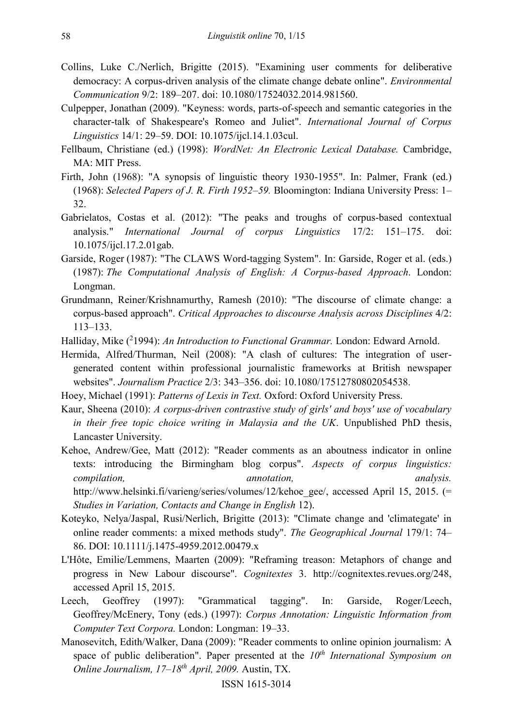- Collins, Luke C./Nerlich, Brigitte (2015). "Examining user comments for deliberative democracy: A corpus-driven analysis of the climate change debate online". *Environmental Communication* 9/2: 189–207. doi: 10.1080/17524032.2014.981560.
- Culpepper, Jonathan (2009). "Keyness: words, parts-of-speech and semantic categories in the character-talk of Shakespeare's Romeo and Juliet". *International Journal of Corpus Linguistics* 14/1: 29–59. DOI: 10.1075/ijcl.14.1.03cul.
- Fellbaum, Christiane (ed.) (1998): *WordNet: An Electronic Lexical Database.* Cambridge, MA: MIT Press.
- Firth, John (1968): "A synopsis of linguistic theory 1930-1955". In: Palmer, Frank (ed.) (1968): *Selected Papers of J. R. Firth 1952–59.* Bloomington: Indiana University Press: 1– 32.
- Gabrielatos, Costas et al. (2012): "The peaks and troughs of corpus-based contextual analysis." *International Journal of corpus Linguistics* 17/2: 151–175. doi: 10.1075/ijcl.17.2.01gab.
- Garside, Roger (1987): "The CLAWS Word-tagging System". In: Garside, Roger et al. (eds.) (1987): *The Computational Analysis of English: A Corpus-based Approach*. London: Longman.
- Grundmann, Reiner/Krishnamurthy, Ramesh (2010): "The discourse of climate change: a corpus-based approach". *Critical Approaches to discourse Analysis across Disciplines* 4/2: 113–133.
- Halliday, Mike (<sup>2</sup>1994): An Introduction to Functional Grammar. London: Edward Arnold.
- Hermida, Alfred/Thurman, Neil (2008): "A clash of cultures: The integration of usergenerated content within professional journalistic frameworks at British newspaper websites". *Journalism Practice* 2/3: 343–356. doi: 10.1080/17512780802054538.
- Hoey, Michael (1991): *Patterns of Lexis in Text.* Oxford: Oxford University Press.
- Kaur, Sheena (2010): *A corpus-driven contrastive study of girls' and boys' use of vocabulary in their free topic choice writing in Malaysia and the UK*. Unpublished PhD thesis, Lancaster University.
- Kehoe, Andrew/Gee, Matt (2012): "Reader comments as an aboutness indicator in online texts: introducing the Birmingham blog corpus". *Aspects of corpus linguistics: compilation, annotation, analysis.*  [http://www.helsinki.fi/varieng/series/volumes/12/kehoe\\_gee/,](http://www.helsinki.fi/varieng/series/volumes/12/kehoe_gee/) accessed April 15, 2015. (= *Studies in Variation, Contacts and Change in English* 12).
- Koteyko, Nelya/Jaspal, Rusi/Nerlich, Brigitte (2013): "Climate change and 'climategate' in online reader comments: a mixed methods study". *The Geographical Journal* 179/1: 74– 86. DOI: 10.1111/j.1475-4959.2012.00479.x
- L'Hôte, Emilie/Lemmens, Maarten (2009): "Reframing treason: Metaphors of change and progress in New Labour discourse". *Cognitextes* 3. [http://cognitextes.revues.org/248,](http://cognitextes.revues.org/248) accessed April 15, 2015.
- Leech, Geoffrey (1997): "Grammatical tagging". In: Garside, Roger/Leech, Geoffrey/McEnery, Tony (eds.) (1997): *Corpus Annotation: Linguistic Information from Computer Text Corpora.* London: Longman: 19–33.
- Manosevitch, Edith/Walker, Dana (2009): "Reader comments to online opinion journalism: A space of public deliberation". Paper presented at the *10th International Symposium on Online Journalism, 17–18th April, 2009.* Austin, TX.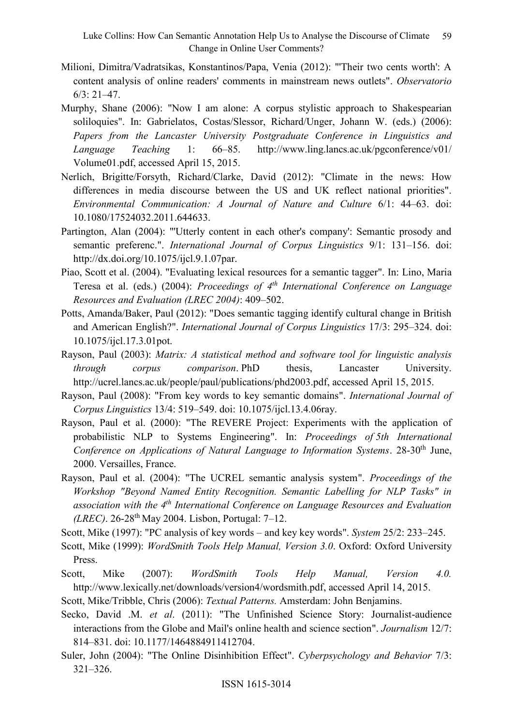Luke Collins: How Can Semantic Annotation Help Us to Analyse the Discourse of Climate Change in Online User Comments? 59

- Milioni, Dimitra/Vadratsikas, Konstantinos/Papa, Venia (2012): "'Their two cents worth': A content analysis of online readers' comments in mainstream news outlets". *Observatorio*   $6/3$ : 21–47.
- Murphy, Shane (2006): "Now I am alone: A corpus stylistic approach to Shakespearian soliloquies". In: Gabrielatos, Costas/Slessor, Richard/Unger, Johann W. (eds.) (2006): *Papers from the Lancaster University Postgraduate Conference in Linguistics and Language Teaching* 1: 66–85. [http://www.ling.lancs.ac.uk/pgconference/v01/](http://www.ling.lancs.ac.uk/pgconference/v01/Volume01.pdf) [Volume01.pdf,](http://www.ling.lancs.ac.uk/pgconference/v01/Volume01.pdf) accessed April 15, 2015.
- Nerlich, Brigitte/Forsyth, Richard/Clarke, David (2012): "Climate in the news: How differences in media discourse between the US and UK reflect national priorities". *Environmental Communication: A Journal of Nature and Culture* 6/1: 44–63. doi: 10.1080/17524032.2011.644633.
- Partington, Alan (2004): "'Utterly content in each other's company': Semantic prosody and semantic preferenc.". *International Journal of Corpus Linguistics* 9/1: 131–156. doi: [http://dx.doi.org/10.1075/ijcl.9.1.07par.](http://dx.doi.org/10.1075/ijcl.9.1.07par)
- Piao, Scott et al. (2004). "Evaluating lexical resources for a semantic tagger". In: Lino, Maria Teresa et al. (eds.) (2004): *Proceedings of 4th International Conference on Language Resources and Evaluation (LREC 2004)*: 409–502.
- Potts, Amanda/Baker, Paul (2012): "Does semantic tagging identify cultural change in British and American English?". *International Journal of Corpus Linguistics* 17/3: 295–324. doi: 10.1075/ijcl.17.3.01pot.
- Rayson, Paul (2003): *Matrix: A statistical method and software tool for linguistic analysis through corpus comparison*. PhD thesis, Lancaster University. [http://ucrel.lancs.ac.uk/people/paul/publications/phd2003.pdf,](http://ucrel.lancs.ac.uk/people/paul/publications/phd2003.pdf) accessed April 15, 2015.
- Rayson, Paul (2008): "From key words to key semantic domains". *International Journal of Corpus Linguistics* 13/4: 519–549. doi: 10.1075/ijcl.13.4.06ray.
- Rayson, Paul et al. (2000): "The REVERE Project: Experiments with the application of probabilistic NLP to Systems Engineering". In: *Proceedings of 5th International Conference on Applications of Natural Language to Information Systems*. 28-30<sup>th</sup> June, 2000. Versailles, France.
- Rayson, Paul et al. (2004): "The UCREL semantic analysis system". *Proceedings of the Workshop "Beyond Named Entity Recognition. Semantic Labelling for NLP Tasks" in association with the 4th International Conference on Language Resources and Evaluation (LREC)*. 26-28th May 2004. Lisbon, Portugal: 7–12.
- Scott, Mike (1997): "PC analysis of key words and key key words". *System* 25/2: 233–245.
- Scott, Mike (1999): *WordSmith Tools Help Manual, Version 3.0*. Oxford: Oxford University Press.
- Scott, Mike (2007): *WordSmith Tools Help Manual, Version 4.0.*  [http://www.lexically.net/downloads/version4/wordsmith.pdf,](http://www.lexically.net/downloads/version4/wordsmith.pdf) accessed April 14, 2015.
- Scott, Mike/Tribble, Chris (2006): *Textual Patterns.* Amsterdam: John Benjamins.
- Secko, David .M. *et al*. (2011): "The Unfinished Science Story: Journalist-audience interactions from the Globe and Mail's online health and science section". *Journalism* 12/7: 814–831. doi: 10.1177/1464884911412704.
- Suler, John (2004): "The Online Disinhibition Effect". *Cyberpsychology and Behavior* 7/3: 321–326.